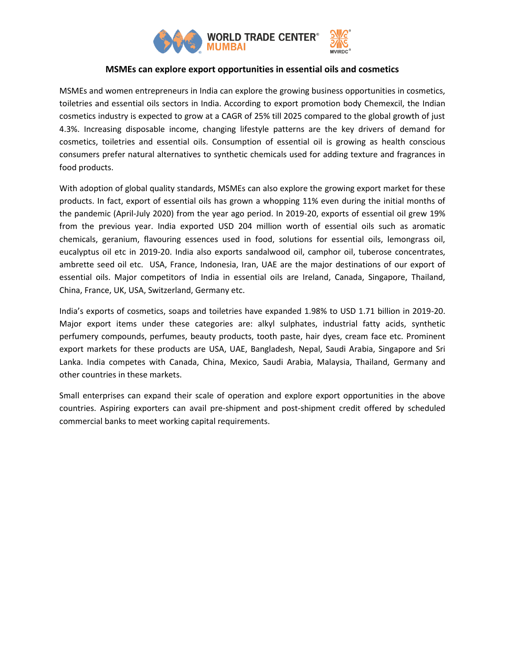

## **MSMEs can explore export opportunities in essential oils and cosmetics**

MSMEs and women entrepreneurs in India can explore the growing business opportunities in cosmetics, toiletries and essential oils sectors in India. According to export promotion body Chemexcil, the Indian cosmetics industry is expected to grow at a CAGR of 25% till 2025 compared to the global growth of just 4.3%. Increasing disposable income, changing lifestyle patterns are the key drivers of demand for cosmetics, toiletries and essential oils. Consumption of essential oil is growing as health conscious consumers prefer natural alternatives to synthetic chemicals used for adding texture and fragrances in food products.

With adoption of global quality standards, MSMEs can also explore the growing export market for these products. In fact, export of essential oils has grown a whopping 11% even during the initial months of the pandemic (April-July 2020) from the year ago period. In 2019-20, exports of essential oil grew 19% from the previous year. India exported USD 204 million worth of essential oils such as aromatic chemicals, geranium, flavouring essences used in food, solutions for essential oils, lemongrass oil, eucalyptus oil etc in 2019-20. India also exports sandalwood oil, camphor oil, tuberose concentrates, ambrette seed oil etc. USA, France, Indonesia, Iran, UAE are the major destinations of our export of essential oils. Major competitors of India in essential oils are Ireland, Canada, Singapore, Thailand, China, France, UK, USA, Switzerland, Germany etc.

India's exports of cosmetics, soaps and toiletries have expanded 1.98% to USD 1.71 billion in 2019-20. Major export items under these categories are: alkyl sulphates, industrial fatty acids, synthetic perfumery compounds, perfumes, beauty products, tooth paste, hair dyes, cream face etc. Prominent export markets for these products are USA, UAE, Bangladesh, Nepal, Saudi Arabia, Singapore and Sri Lanka. India competes with Canada, China, Mexico, Saudi Arabia, Malaysia, Thailand, Germany and other countries in these markets.

Small enterprises can expand their scale of operation and explore export opportunities in the above countries. Aspiring exporters can avail pre-shipment and post-shipment credit offered by scheduled commercial banks to meet working capital requirements.